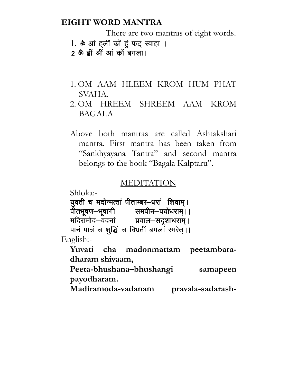### EIGHT WORD MANTRA

There are two mantras of eight words.

- 1. ॐ आं हलीं कों हूं फट स्वाहा ।
- 2 ऊँ हीं श्रीं आं कों बगला।
- 1. OM AAM HLEEM KROM HUM PHAT SVAHA.
- 2. OM HREEM SHREEM AAM KROM BAGALA
- Above both mantras are called Ashtakshari mantra. First mantra has been taken from "Sankhyayana Tantra" and second mantra belongs to the book "Bagala Kalptaru".

### **MEDITATION**

Shloka:- युवती च मदोन्मत्तां पीताम्बर-धरां शिवाम्। पीतभूषण—भूषांगी समपीन—पयोधराम् । । मदिरामोद—वदनां प्रवाल—सदृशाधराम्।

पानं पात्रं च शुद्धिं च विभ्रतीं बगलां स्मरेत्।।

English:-

Yuvati cha madonmattam peetambaradharam shivaam,

Peeta-bhushana–bhushangi samapeen payodharam.

Madiramoda-vadanam pravala-sadarash-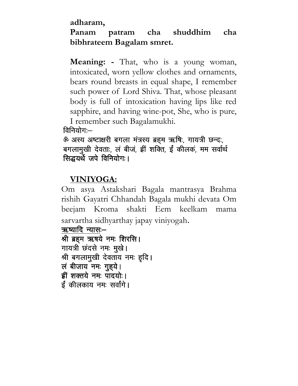### adharam,

## Panam patram cha shuddhim cha bibhrateem Bagalam smret.

Meaning: - That, who is a young woman, intoxicated, worn yellow clothes and ornaments, bears round breasts in equal shape, I remember such power of Lord Shiva. That, whose pleasant body is full of intoxication having lips like red sapphire, and having wine-pot, She, who is pure, I remember such Bagalamukhi.

विनियोग: $-$ 

ऊं अस्य अष्टाक्षरी बगला मंत्रस्य ब्रहम ऋषि:, गायत्री छन्द:, बगलामुखी देवताः, लं बीजं, हीं शक्ति, ईं कीलकं, मम सर्वार्थ सिद्धयर्थे जपे विनियोग:।

## VINIYOGA:

Om asya Astakshari Bagala mantrasya Brahma rishih Gayatri Chhandah Bagala mukhi devata Om beejam Kroma shakti Eem keelkam mama sarvartha sidhyarthay japay viniyogah.

ऋष्यादि न्यासः–

```
श्री ब्रहम ऋषये नमः शिरसि।
गायत्री छदसे नमः मुखे।
श्री बगलामुखी देवताय नमः हृदि।
ल बीजाय नमः गुह्ये।
ह्रीं शक्तये नम: पादयो: ।
ई कीलकाय नमः सर्वांगे।
```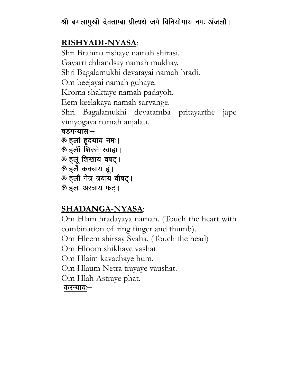# श्री बगलामुखी देवताम्बा प्रीत्यर्थे जपे विनियोगाय नमः अंजलौ।

# RISHYADI-NYASA:

Shri Brahma rishaye namah shirasi. Gayatri chhandsay namah mukhay. Shri Bagalamukhi devatayai namah hradi. Om beejayai namah guhaye. Kroma shaktaye namah padayoh. Eem keelakaya namah sarvange. Shri Bagalamukhi devatamba pritayarthe jape viniyogaya namah anjalau. षडगन्यास:-<u>ॐ हलां हृदयाय नमः।</u> ॐ हलीं शिरसे स्वाहा।

ॐ हलूं शिखाय वषट्। ॐ हलैं कवचाय हूं। ऊँ हलौं नेत्र त्रयाय वौषट्। <u>ॐ हलः अस्त्राय फट</u>।

# SHADANGA-NYASA:

Om Hlam hradayaya namah. (Touch the heart with combination of ring finger and thumb). Om Hleem shirsay Svaha. (Touch the head) Om Hloom shikhaye vashat Om Hlaim kavachaye hum. Om Hlaum Netra trayaye vaushat. Om Hlah Astraye phat. करन्याय:—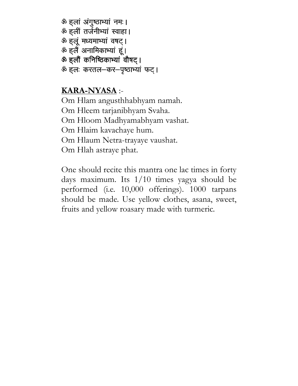ॐ हलां अंगुष्ठाभ्यां नमः। ॐ हलीं तर्जनीभ्यां स्वाहा। ऊं हलू मध्यमाभ्यां वषट्। ॐ हलैं अनामिकाभ्यां हूं। ऊं हलों कनिष्ठिकाभ्यां वौषट् । ॐ हलः करतल-कर-पृष्ठाभ्यां फट्।

### KARA-NYASA :-

Om Hlam angusthhabhyam namah. Om Hleem tarjanibhyam Svaha. Om Hloom Madhyamabhyam vashat. Om Hlaim kavachaye hum. Om Hlaum Netra-trayaye vaushat. Om Hlah astraye phat.

One should recite this mantra one lac times in forty days maximum. Its 1/10 times yagya should be performed (i.e. 10,000 offerings). 1000 tarpans should be made. Use yellow clothes, asana, sweet, fruits and yellow roasary made with turmeric.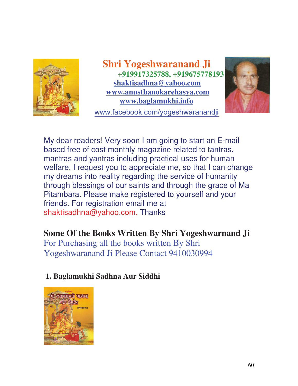

**Shri Yogeshwaranand Ji +919917325788, +919675778193 shaktisadhna@yahoo.com www.anusthanokarehasya.com www.baglamukhi.info**  ww.facebook.com/yogeshwaranandji



My dear readers! Very soon I am going to start an E-mail based free of cost monthly magazine related to tantras, mantras and yantras including practical uses for human welfare. I request you to appreciate me, so that I can change my dreams into reality regarding the service of humanity through blessings of our saints and through the grace of Ma Pitambara. Please make registered to yourself and your friends. For registration email me at shaktisadhna@yahoo.com. Thanks

## **Some Of the Books Written By Shri Yogeshwarnand Ji**

For Purchasing all the books written By Shri Yogeshwaranand Ji Please Contact 9410030994

### **1. Baglamukhi Sadhna Aur Siddhi**